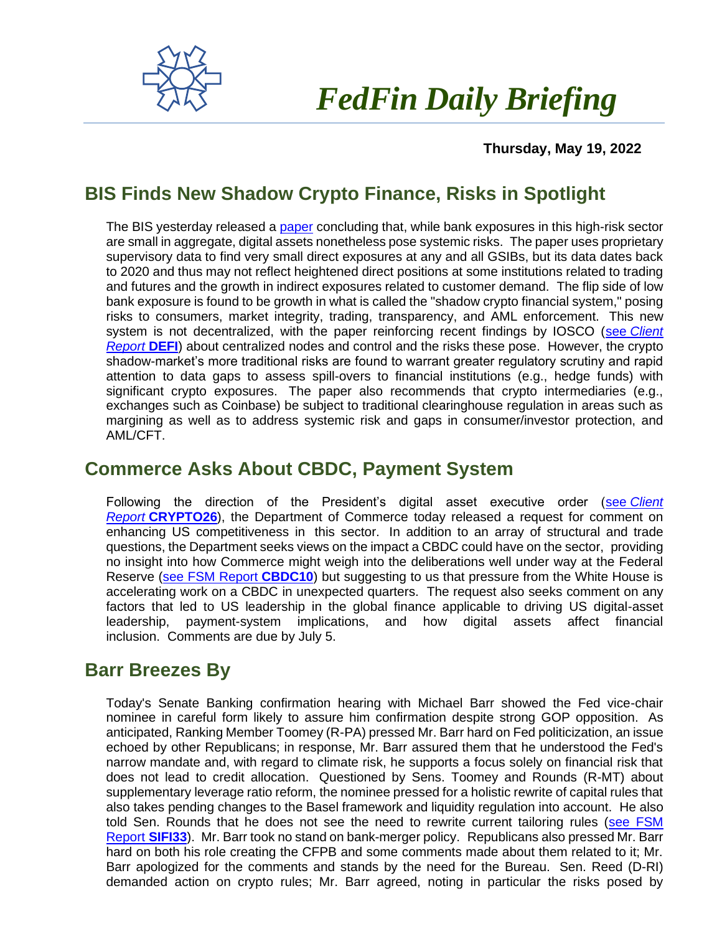

# *FedFin Daily Briefing*

 **Thursday, May 19, 2022**

## **BIS Finds New Shadow Crypto Finance, Risks in Spotlight**

The BIS yesterday released a [paper](https://fedfin.us14.list-manage.com/track/click?u=27f886fdd4a438ee1dc1f0774&id=77c5ed007a&e=288b5ff9aa) concluding that, while bank exposures in this high-risk sector are small in aggregate, digital assets nonetheless pose systemic risks. The paper uses proprietary supervisory data to find very small direct exposures at any and all GSIBs, but its data dates back to 2020 and thus may not reflect heightened direct positions at some institutions related to trading and futures and the growth in indirect exposures related to customer demand. The flip side of low bank exposure is found to be growth in what is called the "shadow crypto financial system," posing risks to consumers, market integrity, trading, transparency, and AML enforcement. This new system is not decentralized, with the paper reinforcing recent findings by IOSCO (see *[Client](https://fedfin.us14.list-manage.com/track/click?u=27f886fdd4a438ee1dc1f0774&id=6ec394c8de&e=288b5ff9aa)  [Report](https://fedfin.us14.list-manage.com/track/click?u=27f886fdd4a438ee1dc1f0774&id=6ec394c8de&e=288b5ff9aa)* **DEFI**) about centralized nodes and control and the risks these pose. However, the crypto shadow-market's more traditional risks are found to warrant greater regulatory scrutiny and rapid attention to data gaps to assess spill-overs to financial institutions (e.g., hedge funds) with significant crypto exposures. The paper also recommends that crypto intermediaries (e.g., exchanges such as Coinbase) be subject to traditional clearinghouse regulation in areas such as margining as well as to address systemic risk and gaps in consumer/investor protection, and AML/CFT.

#### **Commerce Asks About CBDC, Payment System**

Following the direction of the President's digital asset executive order (see *[Client](https://fedfin.us14.list-manage.com/track/click?u=27f886fdd4a438ee1dc1f0774&id=c4165b5ace&e=288b5ff9aa)  Report* **[CRYPTO26](https://fedfin.us14.list-manage.com/track/click?u=27f886fdd4a438ee1dc1f0774&id=c4165b5ace&e=288b5ff9aa)**), the Department of Commerce today released a request for comment on enhancing US competitiveness in this sector. In addition to an array of structural and trade questions, the Department seeks views on the impact a CBDC could have on the sector, providing no insight into how Commerce might weigh into the deliberations well under way at the Federal Reserve [\(see FSM Report](https://fedfin.us14.list-manage.com/track/click?u=27f886fdd4a438ee1dc1f0774&id=9ab2d26fbe&e=288b5ff9aa) **CBDC10**) but suggesting to us that pressure from the White House is accelerating work on a CBDC in unexpected quarters. The request also seeks comment on any factors that led to US leadership in the global finance applicable to driving US digital-asset leadership, payment-system implications, and how digital assets affect financial inclusion. Comments are due by July 5.

#### **Barr Breezes By**

Today's Senate Banking confirmation hearing with Michael Barr showed the Fed vice-chair nominee in careful form likely to assure him confirmation despite strong GOP opposition. As anticipated, Ranking Member Toomey (R-PA) pressed Mr. Barr hard on Fed politicization, an issue echoed by other Republicans; in response, Mr. Barr assured them that he understood the Fed's narrow mandate and, with regard to climate risk, he supports a focus solely on financial risk that does not lead to credit allocation. Questioned by Sens. Toomey and Rounds (R-MT) about supplementary leverage ratio reform, the nominee pressed for a holistic rewrite of capital rules that also takes pending changes to the Basel framework and liquidity regulation into account. He also told Sen. Rounds that he does not see the need to rewrite current tailoring rules (see FSM [Report](https://fedfin.us14.list-manage.com/track/click?u=27f886fdd4a438ee1dc1f0774&id=6aa1647fd6&e=288b5ff9aa) **SIFI33**). Mr. Barr took no stand on bank-merger policy. Republicans also pressed Mr. Barr hard on both his role creating the CFPB and some comments made about them related to it; Mr. Barr apologized for the comments and stands by the need for the Bureau. Sen. Reed (D-RI) demanded action on crypto rules; Mr. Barr agreed, noting in particular the risks posed by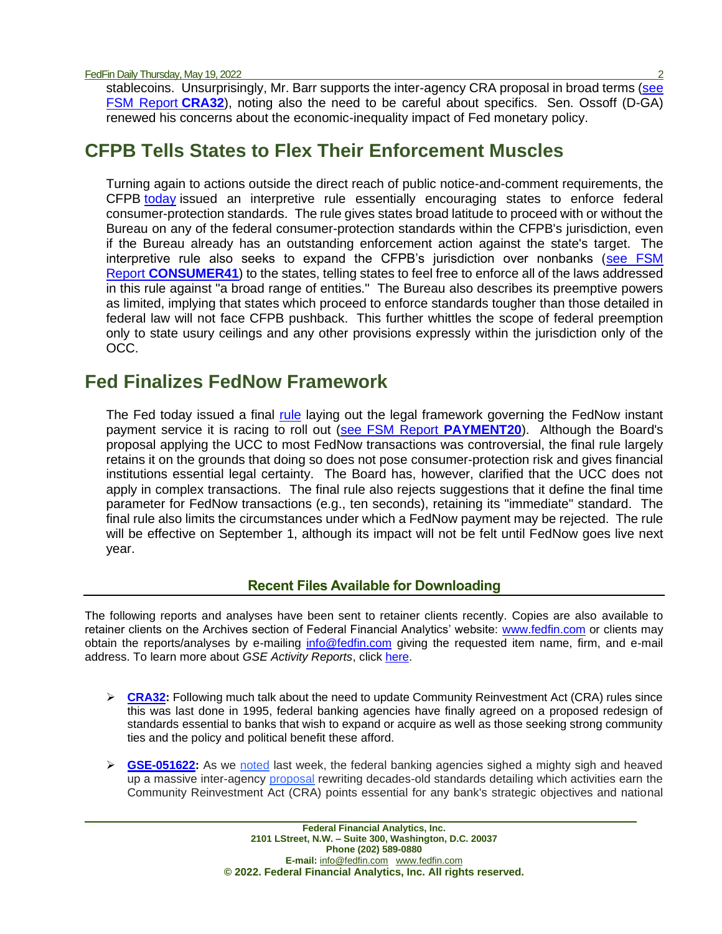FedFin Daily Thursday, May 19, 2022

stablecoins. Unsurprisingly, Mr. Barr supports the inter-agency CRA proposal in broad terms (see [FSM Report](https://fedfin.us14.list-manage.com/track/click?u=27f886fdd4a438ee1dc1f0774&id=a46a53c9df&e=288b5ff9aa) **CRA32**), noting also the need to be careful about specifics. Sen. Ossoff (D-GA) renewed his concerns about the economic-inequality impact of Fed monetary policy.

### **CFPB Tells States to Flex Their Enforcement Muscles**

Turning again to actions outside the direct reach of public notice-and-comment requirements, the CFPB [today](https://fedfin.us14.list-manage.com/track/click?u=27f886fdd4a438ee1dc1f0774&id=9d17e34a01&e=288b5ff9aa) issued an interpretive rule essentially encouraging states to enforce federal consumer-protection standards. The rule gives states broad latitude to proceed with or without the Bureau on any of the federal consumer-protection standards within the CFPB's jurisdiction, even if the Bureau already has an outstanding enforcement action against the state's target. The interpretive rule also seeks to expand the CFPB's jurisdiction over nonbanks [\(see FSM](https://fedfin.us14.list-manage.com/track/click?u=27f886fdd4a438ee1dc1f0774&id=fb98f3547a&e=288b5ff9aa)  Report **[CONSUMER41](https://fedfin.us14.list-manage.com/track/click?u=27f886fdd4a438ee1dc1f0774&id=fb98f3547a&e=288b5ff9aa)**) to the states, telling states to feel free to enforce all of the laws addressed in this rule against "a broad range of entities." The Bureau also describes its preemptive powers as limited, implying that states which proceed to enforce standards tougher than those detailed in federal law will not face CFPB pushback. This further whittles the scope of federal preemption only to state usury ceilings and any other provisions expressly within the jurisdiction only of the OCC.

### **Fed Finalizes FedNow Framework**

The Fed today issued a final [rule](https://www.federalreserve.gov/newsevents/pressreleases/files/other20220519a1.pdf) laying out the legal framework governing the FedNow instant payment service it is racing to roll out [\(see FSM Report](https://fedfin.com/wp-content/uploads/2020/08/PAYMENT20.pdf) **PAYMENT20**). Although the Board's proposal applying the UCC to most FedNow transactions was controversial, the final rule largely retains it on the grounds that doing so does not pose consumer-protection risk and gives financial institutions essential legal certainty. The Board has, however, clarified that the UCC does not apply in complex transactions. The final rule also rejects suggestions that it define the final time parameter for FedNow transactions (e.g., ten seconds), retaining its "immediate" standard. The final rule also limits the circumstances under which a FedNow payment may be rejected. The rule will be effective on September 1, although its impact will not be felt until FedNow goes live next year.

#### **Recent Files Available for Downloading**

The following reports and analyses have been sent to retainer clients recently. Copies are also available to retainer clients on the Archives section of Federal Financial Analytics' website: [www.fedfin.com](http://www.fedfin.com/) or clients may obtain the reports/analyses by e-mailing [info@fedfin.com](mailto:info@fedfin.com) giving the requested item name, firm, and e-mail address. To learn more about *GSE Activity Reports*, click [here.](https://fedfin.com/gse-activity-report/)

- ➢ **[CRA32:](https://fedfin.com/wp-content/uploads/2022/05/CRA32.pdf)** Following much talk about the need to update Community Reinvestment Act (CRA) rules since this was last done in 1995, federal banking agencies have finally agreed on a proposed redesign of standards essential to banks that wish to expand or acquire as well as those seeking strong community ties and the policy and political benefit these afford.
- ➢ **[GSE-051622:](https://fedfin.com/wp-content/uploads/2022/05/GSE-051622.pdf)** As we [noted](https://fedfin.us14.list-manage.com/track/click?u=27f886fdd4a438ee1dc1f0774&id=61ababab2e&e=a1a473830b) last week, the federal banking agencies sighed a mighty sigh and heaved up a massive inter-agency [proposal](https://fedfin.us14.list-manage.com/track/click?u=27f886fdd4a438ee1dc1f0774&id=a2fd18f451&e=a1a473830b) rewriting decades-old standards detailing which activities earn the Community Reinvestment Act (CRA) points essential for any bank's strategic objectives and national